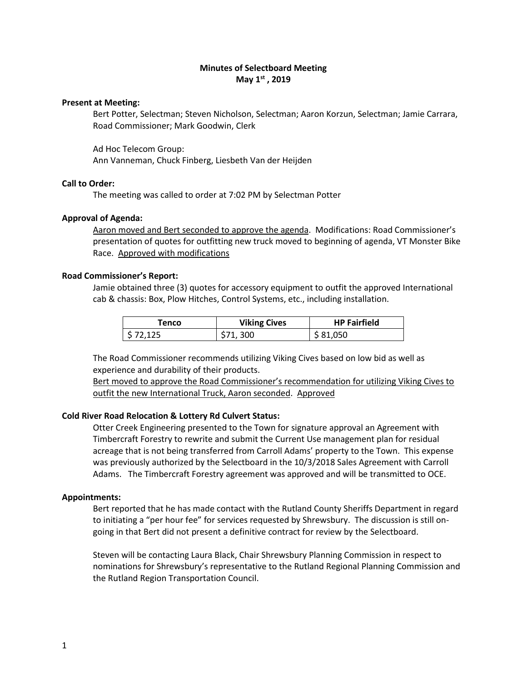# **Minutes of Selectboard Meeting May 1st , 2019**

### **Present at Meeting:**

Bert Potter, Selectman; Steven Nicholson, Selectman; Aaron Korzun, Selectman; Jamie Carrara, Road Commissioner; Mark Goodwin, Clerk

Ad Hoc Telecom Group:

Ann Vanneman, Chuck Finberg, Liesbeth Van der Heijden

# **Call to Order:**

The meeting was called to order at 7:02 PM by Selectman Potter

# **Approval of Agenda:**

Aaron moved and Bert seconded to approve the agenda. Modifications: Road Commissioner's presentation of quotes for outfitting new truck moved to beginning of agenda, VT Monster Bike Race. Approved with modifications

# **Road Commissioner's Report:**

Jamie obtained three (3) quotes for accessory equipment to outfit the approved International cab & chassis: Box, Plow Hitches, Control Systems, etc., including installation.

| Tenco    | <b>Viking Cives</b> | <b>HP Fairfield</b> |
|----------|---------------------|---------------------|
| \$72.125 | \$71,300            | \$81,050            |

The Road Commissioner recommends utilizing Viking Cives based on low bid as well as experience and durability of their products.

Bert moved to approve the Road Commissioner's recommendation for utilizing Viking Cives to outfit the new International Truck, Aaron seconded. Approved

# **Cold River Road Relocation & Lottery Rd Culvert Status:**

Otter Creek Engineering presented to the Town for signature approval an Agreement with Timbercraft Forestry to rewrite and submit the Current Use management plan for residual acreage that is not being transferred from Carroll Adams' property to the Town. This expense was previously authorized by the Selectboard in the 10/3/2018 Sales Agreement with Carroll Adams. The Timbercraft Forestry agreement was approved and will be transmitted to OCE.

# **Appointments:**

Bert reported that he has made contact with the Rutland County Sheriffs Department in regard to initiating a "per hour fee" for services requested by Shrewsbury. The discussion is still ongoing in that Bert did not present a definitive contract for review by the Selectboard.

Steven will be contacting Laura Black, Chair Shrewsbury Planning Commission in respect to nominations for Shrewsbury's representative to the Rutland Regional Planning Commission and the Rutland Region Transportation Council.